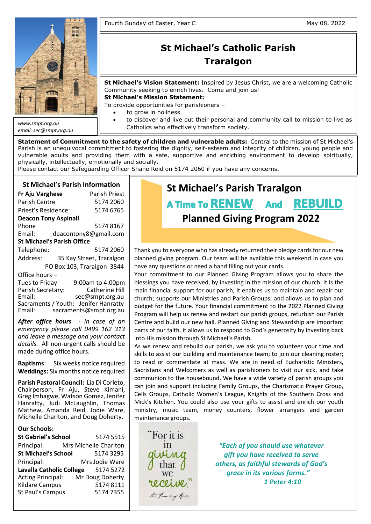

*email: sec@smpt.org.au*

# **St Michael's Catholic Parish Traralgon**

**St Michael's Vision Statement:** Inspired by Jesus Christ, we are a welcoming Catholic Community seeking to enrich lives. Come and join us!

**St Michael's Mission Statement:**

To provide opportunities for parishioners –

- to grow in holiness
- to discover and live out their personal and community call to mission to live as Catholics who effectively transform society.

**Statement of Commitment to the safety of children and vulnerable adults:** Central to the mission of St Michael's Parish is an unequivocal commitment to fostering the dignity, self-esteem and integrity of children, young people and vulnerable adults and providing them with a safe, supportive and enriching environment to develop spiritually, physically, intellectually, emotionally and socially.

Please contact our Safeguarding Officer Shane Reid on 5174 2060 if you have any concerns.

# **St Michael's Parish Information**

| <b>Parish Priest</b>              |  |  |  |  |  |  |  |
|-----------------------------------|--|--|--|--|--|--|--|
| 5174 2060                         |  |  |  |  |  |  |  |
| 5174 6765                         |  |  |  |  |  |  |  |
| <b>Deacon Tony Aspinall</b>       |  |  |  |  |  |  |  |
| 51748167                          |  |  |  |  |  |  |  |
| deacontony8@gmail.com             |  |  |  |  |  |  |  |
| <b>St Michael's Parish Office</b> |  |  |  |  |  |  |  |
| 5174 2060                         |  |  |  |  |  |  |  |
| 35 Kay Street, Traralgon          |  |  |  |  |  |  |  |
| PO Box 103, Traralgon 3844        |  |  |  |  |  |  |  |
|                                   |  |  |  |  |  |  |  |
| 9:00am to 4:00pm                  |  |  |  |  |  |  |  |
|                                   |  |  |  |  |  |  |  |

Parish Secretary: Catherine Hill<br>Email: Sec@smpt.org.au sec@smpt.org.au Sacraments / Youth: Jenifer Hanratty Email: [sacraments@smpt.org.au](mailto:sacraments@smpt.org.au)

*After office hours - in case of an emergency please call 0499 162 313 and leave a message and your contact details.* All non-urgent calls should be made during office hours.

**Baptisms**: Six weeks notice required **Weddings:** Six months notice required

**Parish Pastoral Council:** Lia Di Corleto, Chairperson, Fr Aju, Steve Kimani, Greg Imhagwe, Watson Gomez, Jenifer Hanratty, Judi McLaughlin, Thomas Mathew, Amanda Reid, Jodie Ware, Michelle Charlton, and Doug Doherty.

## **Our Schools:**

| <b>St Gabriel's School</b> | 5174 5515             |
|----------------------------|-----------------------|
| Principal:                 | Mrs Michelle Charlton |
| <b>St Michael's School</b> | 5174 3295             |
| Principal:                 | Mrs Jodie Ware        |
| Lavalla Catholic College   | 5174 5272             |
| <b>Acting Principal:</b>   | Mr Doug Doherty       |
| <b>Kildare Campus</b>      | 5174 8111             |
| St Paul's Campus           | 51747355              |
|                            |                       |

# **St Michael's Parish Traralgon** A Time To RENEW And REBUILD **Planned Giving Program 2022**

Thank you to everyone who has already returned their pledge cards for our new planned giving program. Our team will be available this weekend in case you have any questions or need a hand filling out your cards.

Your commitment to our Planned Giving Program allows you to share the blessings you have received, by investing in the mission of our church. It is the main financial support for our parish; it enables us to maintain and repair our church; supports our Ministries and Parish Groups; and allows us to plan and budget for the future. Your financial commitment to the 2022 Planned Giving Program will help us renew and restart our parish groups, refurbish our Parish Centre and build our new hall. Planned Giving and Stewardship are important parts of our faith, it allows us to respond to God's generosity by investing back into His mission through St Michael's Parish.

**Quote of the Day on Synodality:** can join and support including Family Groups, the Charismatic Prayer Group, "The Church, in her entirety, has undertaken a synodal process, Cells Groups, Catholic Women's League, Knights of the Southern Cross and Mick's Kitchen. You could also use your gifts to assist and enrich our youth ministry, music team, money counters, flower arrangers and garden maintenance groups.  $S^{\text{cusp}}$ As we renew and rebuild our parish, we ask you to volunteer your time and skills to assist our building and maintenance team; to join our cleaning roster; to read or commentate at mass. We are in need of Eucharistic Ministers, Sacristans and Welcomers as well as parishioners to visit our sick, and take communion to the housebound. We have a wide variety of parish groups you

accepting to place my life under his gaze, to accept this gaze, to accept this encounter  $\mathcal{L}_{\mathcal{A}}$ 

For it is  $\mathbf{v}$  is no  $\mathbf{v}$  and  $\mathbf{v}$  $\alpha$  arm  $\alpha$ - St. Francis of Assisi To focus on Jesus' cross, as Saint Paul says (cf. *Gal* 2:19), means

**in and "***Each of you should use whatever*  $\mathcal{W}\mathcal{M} \mathcal{Q} \hspace{1cm}$  gift you have received to serve that  $\int$  others, as faithful stewards of God's **Let us the concrete in its various forms.**<sup>"</sup> and a horizontal arm. The horizontal arm is our life, our history, *1 Peter 4:10*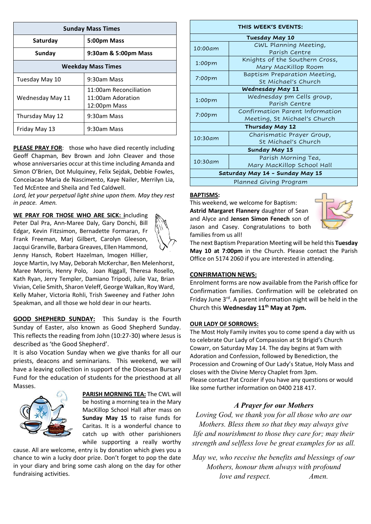| <b>Sunday Mass Times</b>  |                                                             |  |  |  |  |
|---------------------------|-------------------------------------------------------------|--|--|--|--|
| Saturday                  | 5:00pm Mass                                                 |  |  |  |  |
| Sunday                    | 9:30am & 5:00pm Mass                                        |  |  |  |  |
| <b>Weekday Mass Times</b> |                                                             |  |  |  |  |
| Tuesday May 10            | 9:30am Mass                                                 |  |  |  |  |
| Wednesday May 11          | 11:00am Reconciliation<br>11:00am Adoration<br>12:00pm Mass |  |  |  |  |
| Thursday May 12           | 9:30am Mass                                                 |  |  |  |  |
| Friday May 13             | 9:30am Mass                                                 |  |  |  |  |

**PLEASE PRAY FOR**: those who have died recently including Geoff Chapman, Bev Brown and John Cleaver and those whose anniversaries occur at this time including Amanda and Simon O'Brien, Dot Mulquiney, Felix Sejdak, Debbie Fowles, Conceiacao Maria de Nascimento, Kaye Nailer, Merrilyn Lia, Ted McEntee and Sheila and Ted Caldwell.

*Lord, let your perpetual light shine upon them. May they rest in peace. Amen.*

**WE PRAY FOR THOSE WHO ARE SICK: i**ncluding Peter Dal Pra, Ann-Maree Daly, Gary Donchi, Bill Edgar, Kevin Fitzsimon, Bernadette Formaran, Fr Frank Freeman, Marj Gilbert, Carolyn Gleeson, Jacqui Granville, Barbara Greaves, Ellen Hammond, Jenny Hansch, Robert Hazelman, Imogen Hillier,



Joyce Martin, Ivy May, Deborah McKerchar, Ben Melenhorst, Maree Morris, Henry Polo, Joan Riggall, Theresa Rosello, Kath Ryan, Jerry Templer, Damiano Tripodi, Julie Vaz, Brian Vivian, Celie Smith, Sharon Veleff, George Walkan, Roy Ward, Kelly Maher, Victoria Rohli, Trish Sweeney and Father John Speakman, and all those we hold dear in our hearts.

**GOOD SHEPHERD SUNDAY:** This Sunday is the Fourth Sunday of Easter, also known as Good Shepherd Sunday. This reflects the reading from John (10:27-30) where Jesus is described as 'the Good Shepherd'.

It is also Vocation Sunday when we give thanks for all our priests, deacons and seminarians. This weekend, we will have a leaving collection in support of the Diocesan Bursary Fund for the education of students for the priesthood at all Masses.



**PARISH MORNING TEA:** The CWL will be hosting a morning tea in the Mary MacKillop School Hall after mass on **Sunday May 15** to raise funds for Caritas. It is a wonderful chance to catch up with other parishioners while supporting a really worthy

cause. All are welcome, entry is by donation which gives you a chance to win a lucky door prize. Don't forget to pop the date in your diary and bring some cash along on the day for other fundraising activities.

#### **THIS WEEK'S EVENTS:**

| Tuesday May 10                  |                                 |  |  |  |  |  |
|---------------------------------|---------------------------------|--|--|--|--|--|
| 10:00am                         | CWL Planning Meeting,           |  |  |  |  |  |
|                                 | Parish Centre                   |  |  |  |  |  |
| 1:00 <sub>pm</sub>              | Knights of the Southern Cross,  |  |  |  |  |  |
|                                 | Mary MacKillop Room             |  |  |  |  |  |
| 7:00pm                          | Baptism Preparation Meeting,    |  |  |  |  |  |
|                                 | St Michael's Church             |  |  |  |  |  |
| <b>Wednesday May 11</b>         |                                 |  |  |  |  |  |
| 1:00 <sub>pm</sub>              | Wednesday pm Cells group,       |  |  |  |  |  |
|                                 | Parish Centre                   |  |  |  |  |  |
| $7:00$ pm                       | Confirmation Parent Information |  |  |  |  |  |
|                                 | Meeting, St Michael's Church    |  |  |  |  |  |
| Thursday May 12                 |                                 |  |  |  |  |  |
| 10:30am                         | Charismatic Prayer Group,       |  |  |  |  |  |
|                                 | St Michael's Church             |  |  |  |  |  |
| <b>Sunday May 15</b>            |                                 |  |  |  |  |  |
| 10:30am                         | Parish Morning Tea,             |  |  |  |  |  |
|                                 | Mary MacKillop School Hall      |  |  |  |  |  |
| Saturday May 14 - Sunday May 15 |                                 |  |  |  |  |  |
| Planned Giving Program          |                                 |  |  |  |  |  |

# **BAPTISMS:**

This weekend, we welcome for Baptism: **Astrid Margaret Flannery** daughter of Sean and Alyce and **Jensen Simon Fenech** son of Jason and Casey. Congratulations to both families from us all!



The next Baptism Preparation Meeting will be held this **Tuesday May 10 at 7:00pm** in the Church. Please contact the Parish Office on 5174 2060 if you are interested in attending.

# **CONFIRMATION NEWS:**

Enrolment forms are now available from the Parish office for Confirmation families. Confirmation will be celebrated on Friday June 3<sup>rd</sup>. A parent information night will be held in the Church this **Wednesday 11th May at 7pm.**

#### **OUR LADY OF SORROWS:**

The Most Holy Family invites you to come spend a day with us to celebrate Our Lady of Compassion at St Brigid's Church Cowarr, on Saturday May 14. The day begins at 9am with Adoration and Confession, followed by Benediction, the Procession and Crowning of Our Lady's Statue, Holy Mass and closes with the Divine Mercy Chaplet from 3pm. Please contact Pat Crozier if you have any questions or would like some further information on 0400 218 417.

# *A Prayer for our Mothers*

*Loving God, we thank you for all those who are our Mothers. Bless them so that they may always give life and nourishment to those they care for; may their strength and selfless love be great examples for us all.*

*May we, who receive the benefits and blessings of our Mothers, honour them always with profound love and respect. Amen.*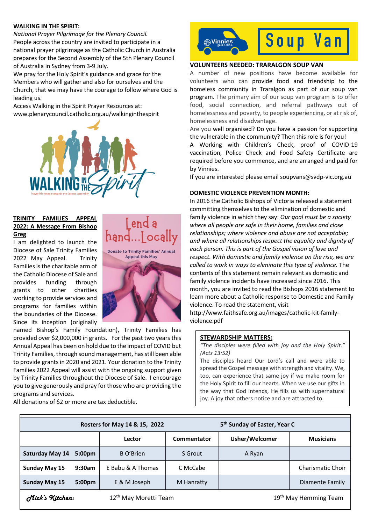#### **WALKING IN THE SPIRIT:**

*National Prayer Pilgrimage for the Plenary Council.* People across the country are invited to participate in a national prayer pilgrimage as the Catholic Church in Australia prepares for the Second Assembly of the 5th Plenary Council of Australia in Sydney from 3-9 July.

We pray for the Holy Spirit's guidance and grace for the Members who will gather and also for ourselves and the Church, that we may have the courage to follow where God is leading us.

Access Walking in the Spirit Prayer Resources at: [www.plenarycouncil.catholic.org.au/walkinginthespirit](http://www.plenarycouncil.catholic.org.au/walkinginthespirit)



## **TRINITY FAMILIES APPEAL 2022: A Message From Bishop Greg**

I am delighted to launch the Diocese of Sale Trinity Families 2022 May Appeal. Trinity Families is the charitable arm of the Catholic Diocese of Sale and provides funding through grants to other charities working to provide services and programs for families within the boundaries of the Diocese. Since its inception (originally





named Bishop's Family Foundation), Trinity Families has provided over \$2,000,000 in grants. For the past two years this Annual Appeal has been on hold due to the impact of COVID but Trinity Families, through sound management, has still been able to provide grants in 2020 and 2021. Your donation to the Trinity Families 2022 Appeal will assist with the ongoing support given by Trinity Families throughout the Diocese of Sale. I encourage you to give generously and pray for those who are providing the programs and services.

All donations of \$2 or more are tax deductible.



# **VOLUNTEERS NEEDED: TRARALGON SOUP VAN**

A number of new positions have become available for volunteers who can provide food and friendship to the homeless community in Traralgon as part of our soup van program. The primary aim of our soup van program is to offer food, social connection, and referral pathways out of homelessness and poverty, to people experiencing, or at risk of, homelessness and disadvantage.

Are you well organised? Do you have a passion for supporting the vulnerable in the community? Then this role is for you! A Working with Children's Check, proof of COVID-19 vaccination, Police Check and Food Safety Certificate are required before you commence, and are arranged and paid for by Vinnies.

If you are interested please email soupvans@svdp-vic.org.au

#### **DOMESTIC VIOLENCE PREVENTION MONTH:**

In 2016 the Catholic Bishops of Victoria released a statement committing themselves to the elimination of domestic and family violence in which they say: *Our goal must be a society where all people are safe in their home, families and close relationships; where violence and abuse are not acceptable; and where all relationships respect the equality and dignity of each person. This is part of the Gospel vision of love and respect. With domestic and family violence on the rise, we are called to work in ways to eliminate this type of violence.* The contents of this statement remain relevant as domestic and family violence incidents have increased since 2016. This month, you are invited to read the Bishops 2016 statement to learn more about a Catholic response to Domestic and Family violence. To read the statement, visit

[http://www.faithsafe.org.au/images/catholic-kit-family](http://www.faithsafe.org.au/images/catholic-kit-family-violence.pdf)[violence.pdf](http://www.faithsafe.org.au/images/catholic-kit-family-violence.pdf)

# **STEWARDSHIP MATTERS:**

*"The disciples were filled with joy and the Holy Spirit." (Acts 13:52)*

The disciples heard Our Lord's call and were able to spread the Gospel message with strength and vitality. We, too, can experience that same joy if we make room for the Holy Spirit to fill our hearts. When we use our gifts in the way that God intends, He fills us with supernatural joy. A joy that others notice and are attracted to.

|                                                      |                    | Rosters for May 14 & 15, 2022     |             | 5 <sup>th</sup> Sunday of Easter, Year C |                          |  |
|------------------------------------------------------|--------------------|-----------------------------------|-------------|------------------------------------------|--------------------------|--|
|                                                      |                    | Lector                            | Commentator | Usher/Welcomer                           | <b>Musicians</b>         |  |
| Saturday May 14                                      | 5:00 <sub>pm</sub> | B O'Brien                         | S Grout     | A Ryan                                   |                          |  |
| <b>Sunday May 15</b>                                 | 9:30am             | E Babu & A Thomas                 | C McCabe    |                                          | <b>Charismatic Choir</b> |  |
| <b>Sunday May 15</b>                                 | 5:00 <sub>pm</sub> | E & M Joseph                      | M Hanratty  |                                          | Diamente Family          |  |
| Mick's Kitchen:<br>12 <sup>th</sup> May Moretti Team |                    | 19 <sup>th</sup> May Hemming Team |             |                                          |                          |  |